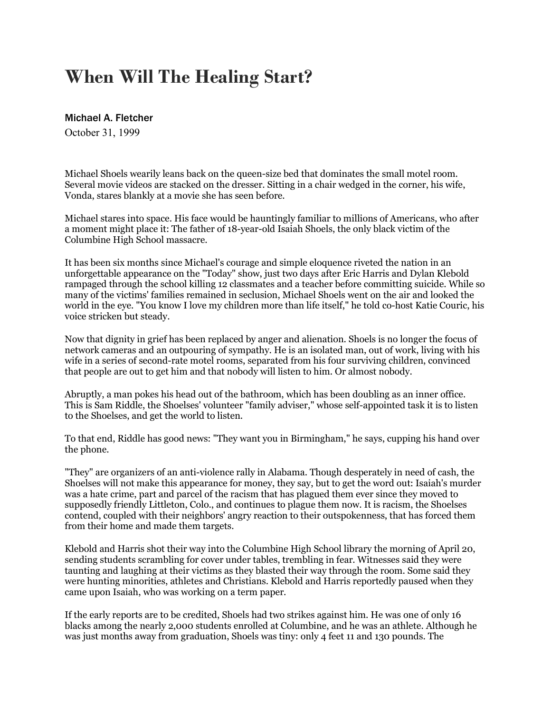## **When Will The Healing Start?**

[Michael A. Fletcher](https://www.washingtonpost.com/people/michael-a-fletcher/)

October 31, 1999

Michael Shoels wearily leans back on the queen-size bed that dominates the small motel room. Several movie videos are stacked on the dresser. Sitting in a chair wedged in the corner, his wife, Vonda, stares blankly at a movie she has seen before.

Michael stares into space. His face would be hauntingly familiar to millions of Americans, who after a moment might place it: The father of 18-year-old Isaiah Shoels, the only black victim of the Columbine High School massacre.

It has been six months since Michael's courage and simple eloquence riveted the nation in an unforgettable appearance on the "Today" show, just two days after Eric Harris and Dylan Klebold rampaged through the school killing 12 classmates and a teacher before committing suicide. While so many of the victims' families remained in seclusion, Michael Shoels went on the air and looked the world in the eye. "You know I love my children more than life itself," he told co-host Katie Couric, his voice stricken but steady.

Now that dignity in grief has been replaced by anger and alienation. Shoels is no longer the focus of network cameras and an outpouring of sympathy. He is an isolated man, out of work, living with his wife in a series of second-rate motel rooms, separated from his four surviving children, convinced that people are out to get him and that nobody will listen to him. Or almost nobody.

Abruptly, a man pokes his head out of the bathroom, which has been doubling as an inner office. This is Sam Riddle, the Shoelses' volunteer "family adviser," whose self-appointed task it is to listen to the Shoelses, and get the world to listen.

To that end, Riddle has good news: "They want you in Birmingham," he says, cupping his hand over the phone.

"They" are organizers of an anti-violence rally in Alabama. Though desperately in need of cash, the Shoelses will not make this appearance for money, they say, but to get the word out: Isaiah's murder was a hate crime, part and parcel of the racism that has plagued them ever since they moved to supposedly friendly Littleton, Colo., and continues to plague them now. It is racism, the Shoelses contend, coupled with their neighbors' angry reaction to their outspokenness, that has forced them from their home and made them targets.

Klebold and Harris shot their way into the Columbine High School library the morning of April 20, sending students scrambling for cover under tables, trembling in fear. Witnesses said they were taunting and laughing at their victims as they blasted their way through the room. Some said they were hunting minorities, athletes and Christians. Klebold and Harris reportedly paused when they came upon Isaiah, who was working on a term paper.

If the early reports are to be credited, Shoels had two strikes against him. He was one of only 16 blacks among the nearly 2,000 students enrolled at Columbine, and he was an athlete. Although he was just months away from graduation, Shoels was tiny: only 4 feet 11 and 130 pounds. The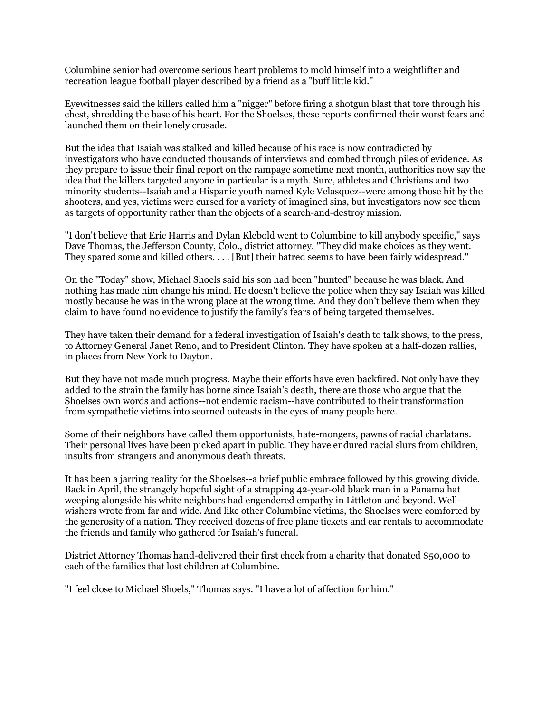Columbine senior had overcome serious heart problems to mold himself into a weightlifter and recreation league football player described by a friend as a "buff little kid."

Eyewitnesses said the killers called him a "nigger" before firing a shotgun blast that tore through his chest, shredding the base of his heart. For the Shoelses, these reports confirmed their worst fears and launched them on their lonely crusade.

But the idea that Isaiah was stalked and killed because of his race is now contradicted by investigators who have conducted thousands of interviews and combed through piles of evidence. As they prepare to issue their final report on the rampage sometime next month, authorities now say the idea that the killers targeted anyone in particular is a myth. Sure, athletes and Christians and two minority students--Isaiah and a Hispanic youth named Kyle Velasquez--were among those hit by the shooters, and yes, victims were cursed for a variety of imagined sins, but investigators now see them as targets of opportunity rather than the objects of a search-and-destroy mission.

"I don't believe that Eric Harris and Dylan Klebold went to Columbine to kill anybody specific," says Dave Thomas, the Jefferson County, Colo., district attorney. "They did make choices as they went. They spared some and killed others. . . . [But] their hatred seems to have been fairly widespread."

On the "Today" show, Michael Shoels said his son had been "hunted" because he was black. And nothing has made him change his mind. He doesn't believe the police when they say Isaiah was killed mostly because he was in the wrong place at the wrong time. And they don't believe them when they claim to have found no evidence to justify the family's fears of being targeted themselves.

They have taken their demand for a federal investigation of Isaiah's death to talk shows, to the press, to Attorney General Janet Reno, and to President Clinton. They have spoken at a half-dozen rallies, in places from New York to Dayton.

But they have not made much progress. Maybe their efforts have even backfired. Not only have they added to the strain the family has borne since Isaiah's death, there are those who argue that the Shoelses own words and actions--not endemic racism--have contributed to their transformation from sympathetic victims into scorned outcasts in the eyes of many people here.

Some of their neighbors have called them opportunists, hate-mongers, pawns of racial charlatans. Their personal lives have been picked apart in public. They have endured racial slurs from children, insults from strangers and anonymous death threats.

It has been a jarring reality for the Shoelses--a brief public embrace followed by this growing divide. Back in April, the strangely hopeful sight of a strapping 42-year-old black man in a Panama hat weeping alongside his white neighbors had engendered empathy in Littleton and beyond. Wellwishers wrote from far and wide. And like other Columbine victims, the Shoelses were comforted by the generosity of a nation. They received dozens of free plane tickets and car rentals to accommodate the friends and family who gathered for Isaiah's funeral.

District Attorney Thomas hand-delivered their first check from a charity that donated \$50,000 to each of the families that lost children at Columbine.

"I feel close to Michael Shoels," Thomas says. "I have a lot of affection for him."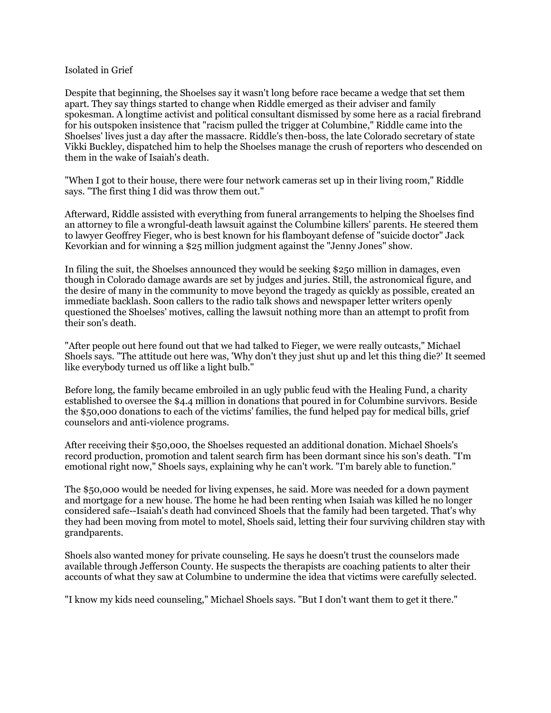## Isolated in Grief

Despite that beginning, the Shoelses say it wasn't long before race became a wedge that set them apart. They say things started to change when Riddle emerged as their adviser and family spokesman. A longtime activist and political consultant dismissed by some here as a racial firebrand for his outspoken insistence that "racism pulled the trigger at Columbine," Riddle came into the Shoelses' lives just a day after the massacre. Riddle's then-boss, the late Colorado secretary of state Vikki Buckley, dispatched him to help the Shoelses manage the crush of reporters who descended on them in the wake of Isaiah's death.

"When I got to their house, there were four network cameras set up in their living room," Riddle says. "The first thing I did was throw them out."

Afterward, Riddle assisted with everything from funeral arrangements to helping the Shoelses find an attorney to file a wrongful-death lawsuit against the Columbine killers' parents. He steered them to lawyer Geoffrey Fieger, who is best known for his flamboyant defense of "suicide doctor" Jack Kevorkian and for winning a \$25 million judgment against the "Jenny Jones" show.

In filing the suit, the Shoelses announced they would be seeking \$250 million in damages, even though in Colorado damage awards are set by judges and juries. Still, the astronomical figure, and the desire of many in the community to move beyond the tragedy as quickly as possible, created an immediate backlash. Soon callers to the radio talk shows and newspaper letter writers openly questioned the Shoelses' motives, calling the lawsuit nothing more than an attempt to profit from their son's death.

"After people out here found out that we had talked to Fieger, we were really outcasts," Michael Shoels says. "The attitude out here was, 'Why don't they just shut up and let this thing die?' It seemed like everybody turned us off like a light bulb."

Before long, the family became embroiled in an ugly public feud with the Healing Fund, a charity established to oversee the \$4.4 million in donations that poured in for Columbine survivors. Beside the \$50,000 donations to each of the victims' families, the fund helped pay for medical bills, grief counselors and anti-violence programs.

After receiving their \$50,000, the Shoelses requested an additional donation. Michael Shoels's record production, promotion and talent search firm has been dormant since his son's death. "I'm emotional right now," Shoels says, explaining why he can't work. "I'm barely able to function."

The \$50,000 would be needed for living expenses, he said. More was needed for a down payment and mortgage for a new house. The home he had been renting when Isaiah was killed he no longer considered safe--Isaiah's death had convinced Shoels that the family had been targeted. That's why they had been moving from motel to motel, Shoels said, letting their four surviving children stay with grandparents.

Shoels also wanted money for private counseling. He says he doesn't trust the counselors made available through Jefferson County. He suspects the therapists are coaching patients to alter their accounts of what they saw at Columbine to undermine the idea that victims were carefully selected.

"I know my kids need counseling," Michael Shoels says. "But I don't want them to get it there."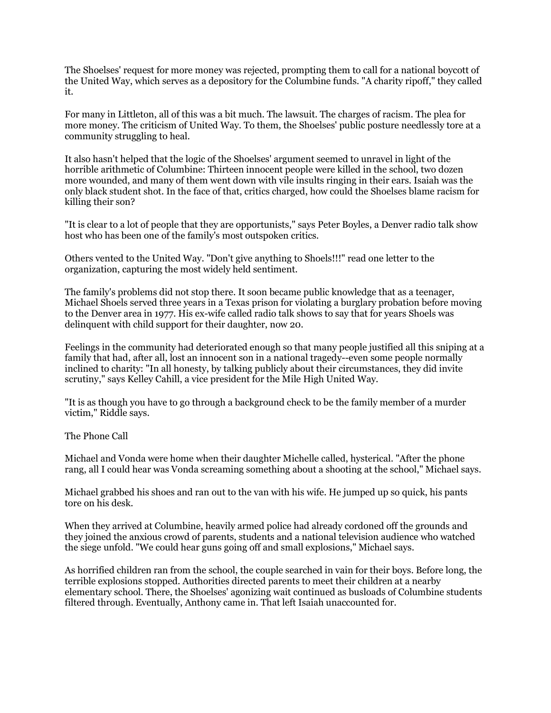The Shoelses' request for more money was rejected, prompting them to call for a national boycott of the United Way, which serves as a depository for the Columbine funds. "A charity ripoff," they called it.

For many in Littleton, all of this was a bit much. The lawsuit. The charges of racism. The plea for more money. The criticism of United Way. To them, the Shoelses' public posture needlessly tore at a community struggling to heal.

It also hasn't helped that the logic of the Shoelses' argument seemed to unravel in light of the horrible arithmetic of Columbine: Thirteen innocent people were killed in the school, two dozen more wounded, and many of them went down with vile insults ringing in their ears. Isaiah was the only black student shot. In the face of that, critics charged, how could the Shoelses blame racism for killing their son?

"It is clear to a lot of people that they are opportunists," says Peter Boyles, a Denver radio talk show host who has been one of the family's most outspoken critics.

Others vented to the United Way. "Don't give anything to Shoels!!!" read one letter to the organization, capturing the most widely held sentiment.

The family's problems did not stop there. It soon became public knowledge that as a teenager, Michael Shoels served three years in a Texas prison for violating a burglary probation before moving to the Denver area in 1977. His ex-wife called radio talk shows to say that for years Shoels was delinquent with child support for their daughter, now 20.

Feelings in the community had deteriorated enough so that many people justified all this sniping at a family that had, after all, lost an innocent son in a national tragedy--even some people normally inclined to charity: "In all honesty, by talking publicly about their circumstances, they did invite scrutiny," says Kelley Cahill, a vice president for the Mile High United Way.

"It is as though you have to go through a background check to be the family member of a murder victim," Riddle says.

The Phone Call

Michael and Vonda were home when their daughter Michelle called, hysterical. "After the phone rang, all I could hear was Vonda screaming something about a shooting at the school," Michael says.

Michael grabbed his shoes and ran out to the van with his wife. He jumped up so quick, his pants tore on his desk.

When they arrived at Columbine, heavily armed police had already cordoned off the grounds and they joined the anxious crowd of parents, students and a national television audience who watched the siege unfold. "We could hear guns going off and small explosions," Michael says.

As horrified children ran from the school, the couple searched in vain for their boys. Before long, the terrible explosions stopped. Authorities directed parents to meet their children at a nearby elementary school. There, the Shoelses' agonizing wait continued as busloads of Columbine students filtered through. Eventually, Anthony came in. That left Isaiah unaccounted for.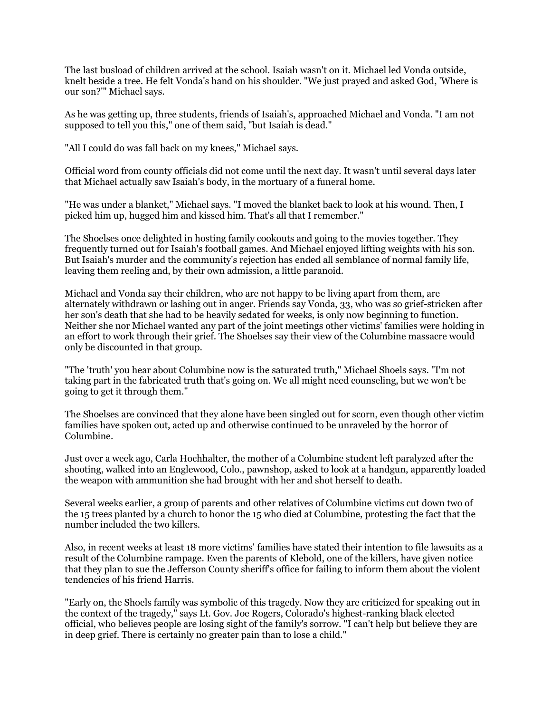The last busload of children arrived at the school. Isaiah wasn't on it. Michael led Vonda outside, knelt beside a tree. He felt Vonda's hand on his shoulder. "We just prayed and asked God, 'Where is our son?'" Michael says.

As he was getting up, three students, friends of Isaiah's, approached Michael and Vonda. "I am not supposed to tell you this," one of them said, "but Isaiah is dead."

"All I could do was fall back on my knees," Michael says.

Official word from county officials did not come until the next day. It wasn't until several days later that Michael actually saw Isaiah's body, in the mortuary of a funeral home.

"He was under a blanket," Michael says. "I moved the blanket back to look at his wound. Then, I picked him up, hugged him and kissed him. That's all that I remember."

The Shoelses once delighted in hosting family cookouts and going to the movies together. They frequently turned out for Isaiah's football games. And Michael enjoyed lifting weights with his son. But Isaiah's murder and the community's rejection has ended all semblance of normal family life, leaving them reeling and, by their own admission, a little paranoid.

Michael and Vonda say their children, who are not happy to be living apart from them, are alternately withdrawn or lashing out in anger. Friends say Vonda, 33, who was so grief-stricken after her son's death that she had to be heavily sedated for weeks, is only now beginning to function. Neither she nor Michael wanted any part of the joint meetings other victims' families were holding in an effort to work through their grief. The Shoelses say their view of the Columbine massacre would only be discounted in that group.

"The 'truth' you hear about Columbine now is the saturated truth," Michael Shoels says. "I'm not taking part in the fabricated truth that's going on. We all might need counseling, but we won't be going to get it through them."

The Shoelses are convinced that they alone have been singled out for scorn, even though other victim families have spoken out, acted up and otherwise continued to be unraveled by the horror of Columbine.

Just over a week ago, Carla Hochhalter, the mother of a Columbine student left paralyzed after the shooting, walked into an Englewood, Colo., pawnshop, asked to look at a handgun, apparently loaded the weapon with ammunition she had brought with her and shot herself to death.

Several weeks earlier, a group of parents and other relatives of Columbine victims cut down two of the 15 trees planted by a church to honor the 15 who died at Columbine, protesting the fact that the number included the two killers.

Also, in recent weeks at least 18 more victims' families have stated their intention to file lawsuits as a result of the Columbine rampage. Even the parents of Klebold, one of the killers, have given notice that they plan to sue the Jefferson County sheriff's office for failing to inform them about the violent tendencies of his friend Harris.

"Early on, the Shoels family was symbolic of this tragedy. Now they are criticized for speaking out in the context of the tragedy," says Lt. Gov. Joe Rogers, Colorado's highest-ranking black elected official, who believes people are losing sight of the family's sorrow. "I can't help but believe they are in deep grief. There is certainly no greater pain than to lose a child."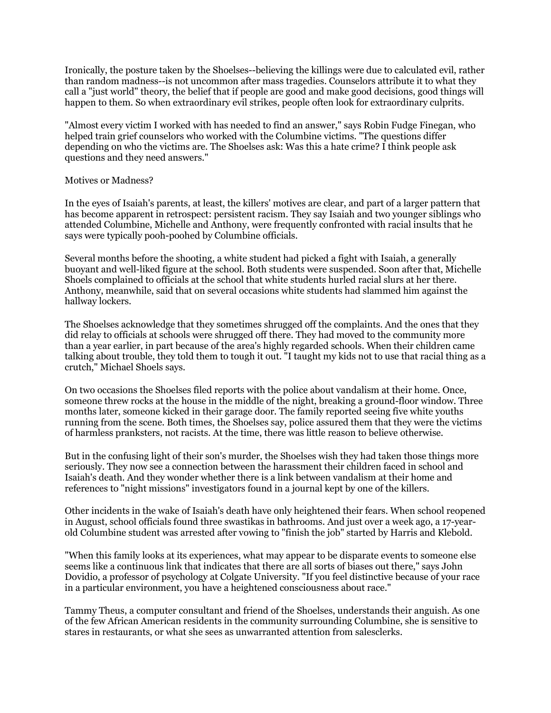Ironically, the posture taken by the Shoelses--believing the killings were due to calculated evil, rather than random madness--is not uncommon after mass tragedies. Counselors attribute it to what they call a "just world" theory, the belief that if people are good and make good decisions, good things will happen to them. So when extraordinary evil strikes, people often look for extraordinary culprits.

"Almost every victim I worked with has needed to find an answer," says Robin Fudge Finegan, who helped train grief counselors who worked with the Columbine victims. "The questions differ depending on who the victims are. The Shoelses ask: Was this a hate crime? I think people ask questions and they need answers."

## Motives or Madness?

In the eyes of Isaiah's parents, at least, the killers' motives are clear, and part of a larger pattern that has become apparent in retrospect: persistent racism. They say Isaiah and two younger siblings who attended Columbine, Michelle and Anthony, were frequently confronted with racial insults that he says were typically pooh-poohed by Columbine officials.

Several months before the shooting, a white student had picked a fight with Isaiah, a generally buoyant and well-liked figure at the school. Both students were suspended. Soon after that, Michelle Shoels complained to officials at the school that white students hurled racial slurs at her there. Anthony, meanwhile, said that on several occasions white students had slammed him against the hallway lockers.

The Shoelses acknowledge that they sometimes shrugged off the complaints. And the ones that they did relay to officials at schools were shrugged off there. They had moved to the community more than a year earlier, in part because of the area's highly regarded schools. When their children came talking about trouble, they told them to tough it out. "I taught my kids not to use that racial thing as a crutch," Michael Shoels says.

On two occasions the Shoelses filed reports with the police about vandalism at their home. Once, someone threw rocks at the house in the middle of the night, breaking a ground-floor window. Three months later, someone kicked in their garage door. The family reported seeing five white youths running from the scene. Both times, the Shoelses say, police assured them that they were the victims of harmless pranksters, not racists. At the time, there was little reason to believe otherwise.

But in the confusing light of their son's murder, the Shoelses wish they had taken those things more seriously. They now see a connection between the harassment their children faced in school and Isaiah's death. And they wonder whether there is a link between vandalism at their home and references to "night missions" investigators found in a journal kept by one of the killers.

Other incidents in the wake of Isaiah's death have only heightened their fears. When school reopened in August, school officials found three swastikas in bathrooms. And just over a week ago, a 17-yearold Columbine student was arrested after vowing to "finish the job" started by Harris and Klebold.

"When this family looks at its experiences, what may appear to be disparate events to someone else seems like a continuous link that indicates that there are all sorts of biases out there," says John Dovidio, a professor of psychology at Colgate University. "If you feel distinctive because of your race in a particular environment, you have a heightened consciousness about race."

Tammy Theus, a computer consultant and friend of the Shoelses, understands their anguish. As one of the few African American residents in the community surrounding Columbine, she is sensitive to stares in restaurants, or what she sees as unwarranted attention from salesclerks.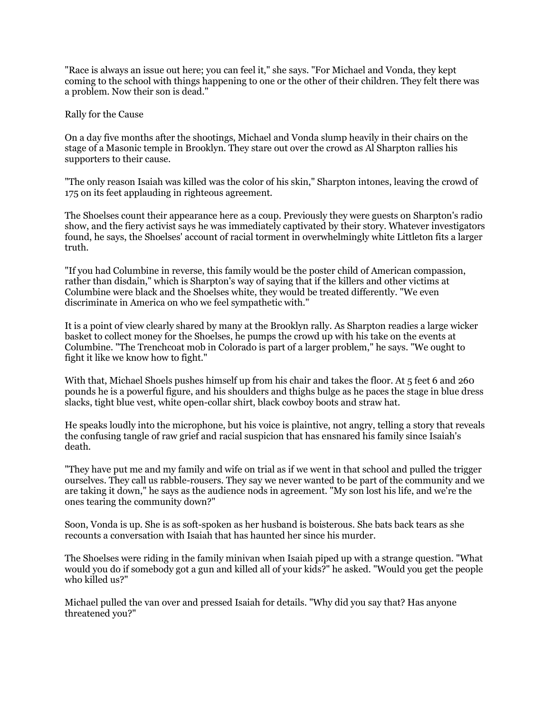"Race is always an issue out here; you can feel it," she says. "For Michael and Vonda, they kept coming to the school with things happening to one or the other of their children. They felt there was a problem. Now their son is dead."

## Rally for the Cause

On a day five months after the shootings, Michael and Vonda slump heavily in their chairs on the stage of a Masonic temple in Brooklyn. They stare out over the crowd as Al Sharpton rallies his supporters to their cause.

"The only reason Isaiah was killed was the color of his skin," Sharpton intones, leaving the crowd of 175 on its feet applauding in righteous agreement.

The Shoelses count their appearance here as a coup. Previously they were guests on Sharpton's radio show, and the fiery activist says he was immediately captivated by their story. Whatever investigators found, he says, the Shoelses' account of racial torment in overwhelmingly white Littleton fits a larger truth.

"If you had Columbine in reverse, this family would be the poster child of American compassion, rather than disdain," which is Sharpton's way of saying that if the killers and other victims at Columbine were black and the Shoelses white, they would be treated differently. "We even discriminate in America on who we feel sympathetic with."

It is a point of view clearly shared by many at the Brooklyn rally. As Sharpton readies a large wicker basket to collect money for the Shoelses, he pumps the crowd up with his take on the events at Columbine. "The Trenchcoat mob in Colorado is part of a larger problem," he says. "We ought to fight it like we know how to fight."

With that, Michael Shoels pushes himself up from his chair and takes the floor. At 5 feet 6 and 260 pounds he is a powerful figure, and his shoulders and thighs bulge as he paces the stage in blue dress slacks, tight blue vest, white open-collar shirt, black cowboy boots and straw hat.

He speaks loudly into the microphone, but his voice is plaintive, not angry, telling a story that reveals the confusing tangle of raw grief and racial suspicion that has ensnared his family since Isaiah's death.

"They have put me and my family and wife on trial as if we went in that school and pulled the trigger ourselves. They call us rabble-rousers. They say we never wanted to be part of the community and we are taking it down," he says as the audience nods in agreement. "My son lost his life, and we're the ones tearing the community down?"

Soon, Vonda is up. She is as soft-spoken as her husband is boisterous. She bats back tears as she recounts a conversation with Isaiah that has haunted her since his murder.

The Shoelses were riding in the family minivan when Isaiah piped up with a strange question. "What would you do if somebody got a gun and killed all of your kids?" he asked. "Would you get the people who killed us?"

Michael pulled the van over and pressed Isaiah for details. "Why did you say that? Has anyone threatened you?"